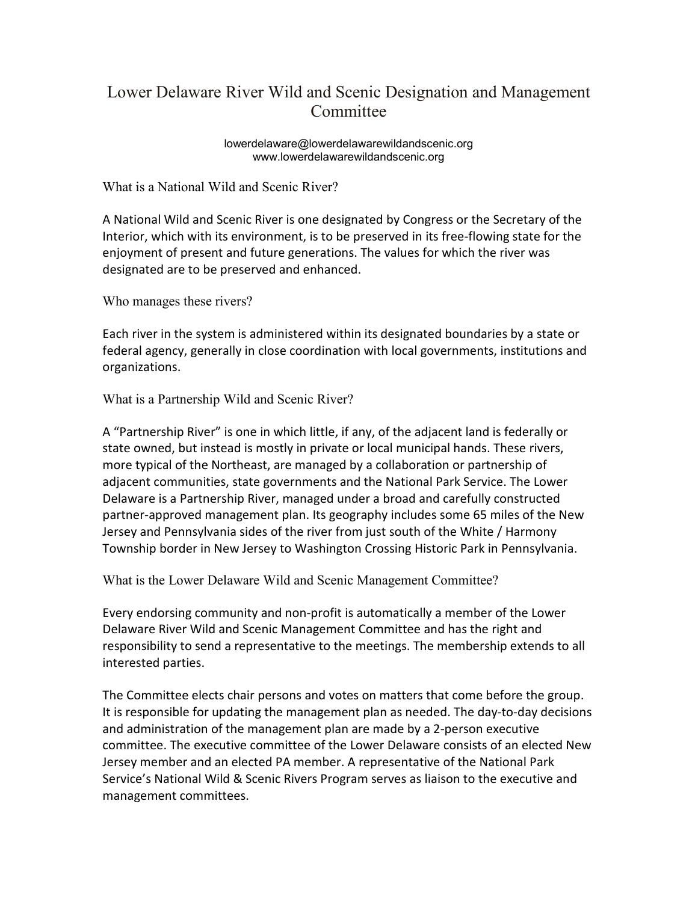## Lower Delaware River Wild and Scenic Designation and Management **Committee**

lowerdelaware@lowerdelawarewildandscenic.org www.lowerdelawarewildandscenic.org

What is a National Wild and Scenic River?

A National Wild and Scenic River is one designated by Congress or the Secretary of the Interior, which with its environment, is to be preserved in its free-flowing state for the enjoyment of present and future generations. The values for which the river was designated are to be preserved and enhanced.

Who manages these rivers?

Each river in the system is administered within its designated boundaries by a state or federal agency, generally in close coordination with local governments, institutions and organizations.

What is a Partnership Wild and Scenic River?

A "Partnership River" is one in which little, if any, of the adjacent land is federally or state owned, but instead is mostly in private or local municipal hands. These rivers, more typical of the Northeast, are managed by a collaboration or partnership of adjacent communities, state governments and the National Park Service. The Lower Delaware is a Partnership River, managed under a broad and carefully constructed partner-approved management plan. Its geography includes some 65 miles of the New Jersey and Pennsylvania sides of the river from just south of the White / Harmony Township border in New Jersey to Washington Crossing Historic Park in Pennsylvania.

What is the Lower Delaware Wild and Scenic Management Committee?

Every endorsing community and non-profit is automatically a member of the Lower Delaware River Wild and Scenic Management Committee and has the right and responsibility to send a representative to the meetings. The membership extends to all interested parties.

The Committee elects chair persons and votes on matters that come before the group. It is responsible for updating the management plan as needed. The day-to-day decisions and administration of the management plan are made by a 2-person executive committee. The executive committee of the Lower Delaware consists of an elected New Jersey member and an elected PA member. A representative of the National Park Service's National Wild & Scenic Rivers Program serves as liaison to the executive and management committees.